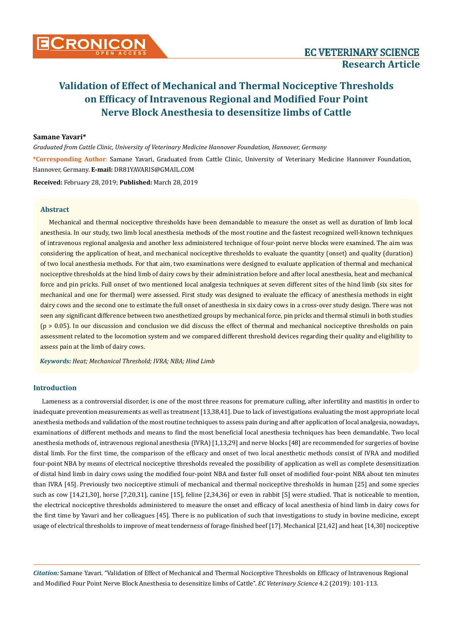### **Samane Yavari\***

*Graduated from Cattle Clinic, University of Veterinary Medicine Hannover Foundation, Hannover, Germany*

**\*Corresponding Author**: Samane Yavari, Graduated from Cattle Clinic, University of Veterinary Medicine Hannover Foundation, Hannover, Germany. **E-mail:** [DR81YAVARIS@GMAIL.COM](mailto:DR81YAVARIS@GMAIL.COM)

**Received:** February 28, 2019; **Published:** March 28, 2019

### **Abstract**

Mechanical and thermal nociceptive thresholds have been demandable to measure the onset as well as duration of limb local anesthesia. In our study, two limb local anesthesia methods of the most routine and the fastest recognized well-known techniques of intravenous regional analgesia and another less administered technique of four-point nerve blocks were examined. The aim was considering the application of heat, and mechanical nociceptive thresholds to evaluate the quantity (onset) and quality (duration) of two local anesthesia methods. For that aim, two examinations were designed to evaluate application of thermal and mechanical nociceptive thresholds at the hind limb of dairy cows by their administration before and after local anesthesia, heat and mechanical force and pin pricks. Full onset of two mentioned local analgesia techniques at seven different sites of the hind limb (six sites for mechanical and one for thermal) were assessed. First study was designed to evaluate the efficacy of anesthesia methods in eight dairy cows and the second one to estimate the full onset of anesthesia in six dairy cows in a cross-over study design. There was not seen any significant difference between two anesthetized groups by mechanical force, pin pricks and thermal stimuli in both studies (p > 0.05). In our discussion and conclusion we did discuss the effect of thermal and mechanical nociceptive thresholds on pain assessment related to the locomotion system and we compared different threshold devices regarding their quality and eligibility to assess pain at the limb of dairy cows.

*Keywords: Heat; Mechanical Threshold; IVRA; NBA; Hind Limb* 

### **Introduction**

Lameness as a controversial disorder, is one of the most three reasons for premature culling, after infertility and mastitis in order to inadequate prevention measurements as well as treatment [13,38,41]. Due to lack of investigations evaluating the most appropriate local anesthesia methods and validation of the most routine techniques to assess pain during and after application of local analgesia, nowadays, examinations of different methods and means to find the most beneficial local anesthesia techniques has been demandable. Two local anesthesia methods of, intravenous regional anesthesia (IVRA) [1,13,29] and nerve blocks [48] are recommended for surgeries of bovine distal limb. For the first time, the comparison of the efficacy and onset of two local anesthetic methods consist of IVRA and modified four-point NBA by means of electrical nociceptive thresholds revealed the possibility of application as well as complete desensitization of distal hind limb in dairy cows using the modified four-point NBA and faster full onset of modified four-point NBA about ten minutes than IVRA [45]. Previously two nociceptive stimuli of mechanical and thermal nociceptive thresholds in human [25] and some species such as cow [14,21,30], horse [7,20,31], canine [15], feline [2,34,36] or even in rabbit [5] were studied. That is noticeable to mention, the electrical nociceptive thresholds administered to measure the onset and efficacy of local anesthesia of hind limb in dairy cows for the first time by Yavari and her colleagues [45]. There is no publication of such that investigations to study in bovine medicine, except usage of electrical thresholds to improve of meat tenderness of forage-finished beef [17]. Mechanical [21,42] and heat [14,30] nociceptive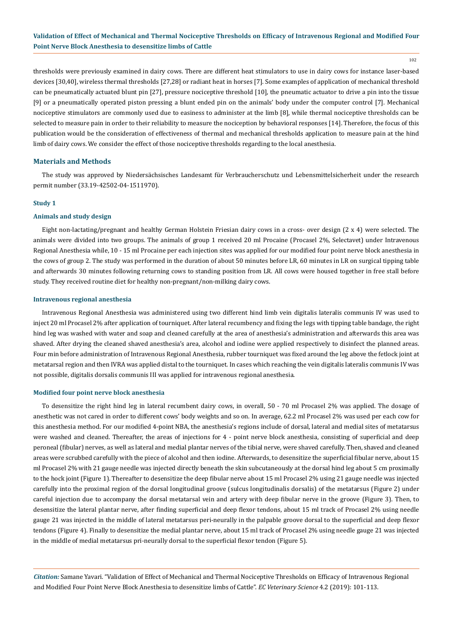102

thresholds were previously examined in dairy cows. There are different heat stimulators to use in dairy cows for instance laser-based devices [30,40], wireless thermal thresholds [27,28] or radiant heat in horses [7]. Some examples of application of mechanical threshold can be pneumatically actuated blunt pin [27], pressure nociceptive threshold [10], the pneumatic actuator to drive a pin into the tissue [9] or a pneumatically operated piston pressing a blunt ended pin on the animals' body under the computer control [7]. Mechanical nociceptive stimulators are commonly used due to easiness to administer at the limb [8], while thermal nociceptive thresholds can be selected to measure pain in order to their reliability to measure the nociception by behavioral responses [14]. Therefore, the focus of this publication would be the consideration of effectiveness of thermal and mechanical thresholds application to measure pain at the hind limb of dairy cows. We consider the effect of those nociceptive thresholds regarding to the local anesthesia.

### **Materials and Methods**

The study was approved by Niedersächsisches Landesamt für Verbraucherschutz und Lebensmittelsicherheit under the research permit number (33.19-42502-04-1511970).

### **Study 1**

### **Animals and study design**

Eight non-lactating/pregnant and healthy German Holstein Friesian dairy cows in a cross- over design (2 x 4) were selected. The animals were divided into two groups. The animals of group 1 received 20 ml Procaine (Procasel 2%, Selectavet) under Intravenous Regional Anesthesia while, 10 - 15 ml Procaine per each injection sites was applied for our modified four point nerve block anesthesia in the cows of group 2. The study was performed in the duration of about 50 minutes before LR, 60 minutes in LR on surgical tipping table and afterwards 30 minutes following returning cows to standing position from LR. All cows were housed together in free stall before study. They received routine diet for healthy non-pregnant/non-milking dairy cows.

### **Intravenous regional anesthesia**

Intravenous Regional Anesthesia was administered using two different hind limb vein digitalis lateralis communis IV was used to inject 20 ml Procasel 2% after application of tourniquet. After lateral recumbency and fixing the legs with tipping table bandage, the right hind leg was washed with water and soap and cleaned carefully at the area of anesthesia's administration and afterwards this area was shaved. After drying the cleaned shaved anesthesia's area, alcohol and iodine were applied respectively to disinfect the planned areas. Four min before administration of Intravenous Regional Anesthesia, rubber tourniquet was fixed around the leg above the fetlock joint at metatarsal region and then IVRA was applied distal to the tourniquet. In cases which reaching the vein digitalis lateralis communis IV was not possible, digitalis dorsalis communis III was applied for intravenous regional anesthesia.

### **Modified four point nerve block anesthesia**

To desensitize the right hind leg in lateral recumbent dairy cows, in overall, 50 - 70 ml Procasel 2% was applied. The dosage of anesthetic was not cared in order to different cows' body weights and so on. In average, 62.2 ml Procasel 2% was used per each cow for this anesthesia method. For our modified 4-point NBA, the anesthesia's regions include of dorsal, lateral and medial sites of metatarsus were washed and cleaned. Thereafter, the areas of injections for 4 - point nerve block anesthesia, consisting of superficial and deep peroneal (fibular) nerves, as well as lateral and medial plantar nerves of the tibial nerve, were shaved carefully. Then, shaved and cleaned areas were scrubbed carefully with the piece of alcohol and then iodine. Afterwards, to desensitize the superficial fibular nerve, about 15 ml Procasel 2% with 21 gauge needle was injected directly beneath the skin subcutaneously at the dorsal hind leg about 5 cm proximally to the hock joint (Figure 1). Thereafter to desensitize the deep fibular nerve about 15 ml Procasel 2% using 21 gauge needle was injected carefully into the proximal region of the dorsal longitudinal groove (sulcus longitudinalis dorsalis) of the metatarsus (Figure 2) under careful injection due to accompany the dorsal metatarsal vein and artery with deep fibular nerve in the groove (Figure 3). Then, to desensitize the lateral plantar nerve, after finding superficial and deep flexor tendons, about 15 ml track of Procasel 2% using needle gauge 21 was injected in the middle of lateral metatarsus peri-neurally in the palpable groove dorsal to the superficial and deep flexor tendons (Figure 4). Finally to desensitize the medial plantar nerve, about 15 ml track of Procasel 2% using needle gauge 21 was injected in the middle of medial metatarsus pri-neurally dorsal to the superficial flexor tendon (Figure 5).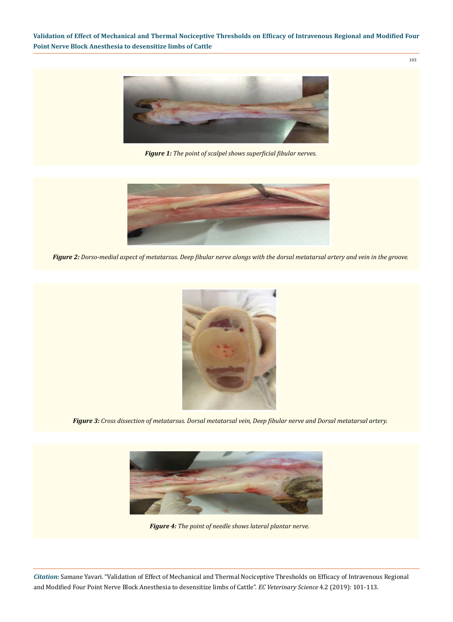103



*Figure 1: The point of scalpel shows superficial fibular nerves.*



*Figure 2: Dorso-medial aspect of metatarsus. Deep fibular nerve alongs with the dorsal metatarsal artery and vein in the groove.*



*Figure 3: Cross dissection of metatarsus. Dorsal metatarsal vein, Deep fibular nerve and Dorsal metatarsal artery.*



*Figure 4: The point of needle shows lateral plantar nerve.*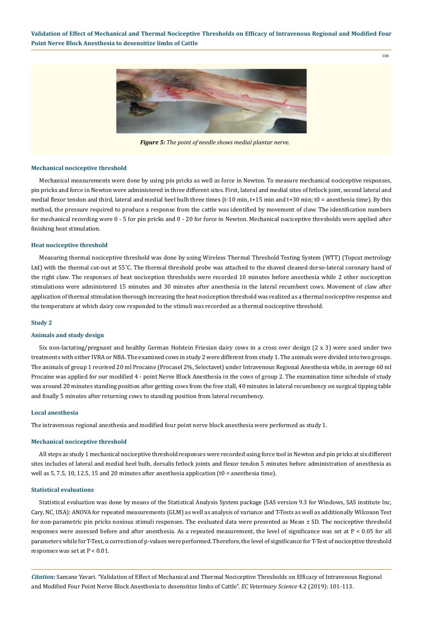104



*Figure 5: The point of needle shows medial plantar nerve.*

#### **Mechanical nociceptive threshold**

Mechanical measurements were done by using pin pricks as well as force in Newton. To measure mechanical nociceptive responses, pin pricks and force in Newton were administered in three different sites. First, lateral and medial sites of fetlock joint, second lateral and medial flexor tendon and third, lateral and medial heel bulb three times (t-10 min, t+15 min and t+30 min; t0 = anesthesia time). By this method, the pressure required to produce a response from the cattle was identified by movement of claw. The identification numbers for mechanical recording were 0 - 5 for pin pricks and 0 - 20 for force in Newton. Mechanical nociceptive thresholds were applied after finishing heat stimulation.

### **Heat nociceptive threshold**

Measuring thermal nociceptive threshold was done by using Wireless Thermal Threshold Testing System (WTT) (Topcat metrology Ltd) with the thermal cut-out at 55˚C. The thermal threshold probe was attached to the shaved cleaned dorso-lateral coronary band of the right claw. The responses of heat nociception thresholds were recorded 10 minutes before anesthesia while 2 other nociception stimulations were administered 15 minutes and 30 minutes after anesthesia in the lateral recumbent cows. Movement of claw after application of thermal stimulation thorough increasing the heat nociception threshold was realized as a thermal nociceptive response and the temperature at which dairy cow responded to the stimuli was recorded as a thermal nociceptive threshold.

### **Study 2**

### **Animals and study design**

Six non-lactating/pregnant and healthy German Holstein Friesian dairy cows in a cross over design (2 x 3) were used under two treatments with either IVRA or NBA. The examined cows in study 2 were different from study 1. The animals were divided into two groups. The animals of group 1 received 20 ml Procaine (Procasel 2%, Selectavet) under Intravenous Regional Anesthesia while, in average 60 ml Procaine was applied for our modified 4 - point Nerve Block Anesthesia in the cows of group 2. The examination time schedule of study was around 20 minutes standing position after getting cows from the free stall, 40 minutes in lateral recumbency on surgical tipping table and finally 5 minutes after returning cows to standing position from lateral recumbency.

#### **Local anesthesia**

The intravenous regional anesthesia and modified four point nerve block anesthesia were performed as study 1.

#### **Mechanical nociceptive threshold**

All steps as study 1 mechanical nociceptive threshold responses were recorded using force tool in Newton and pin pricks at six different sites includes of lateral and medial heel bulb, dorsalis fetlock joints and flexor tendon 5 minutes before administration of anesthesia as well as 5, 7.5, 10, 12.5, 15 and 20 minutes after anesthesia application (t0 = anesthesia time).

#### **Statistical evaluations**

Statistical evaluation was done by means of the Statistical Analysis System package (SAS version 9.3 for Windows, SAS institute Inc, Cary, NC, USA): ANOVA for repeated measurements (GLM) as well as analysis of variance and T-Tests as well as additionally Wilcoxon Test for non-parametric pin pricks noxious stimuli responses. The evaluated data were presented as Mean ± SD. The nociceptive threshold responses were assessed before and after anesthesia. As a repeated measurement, the level of significance was set at P < 0.05 for all parameters while for T-Test, α correction of p-values were performed. Therefore, the level of significance for T-Test of nociceptive threshold responses was set at  $P < 0.01$ .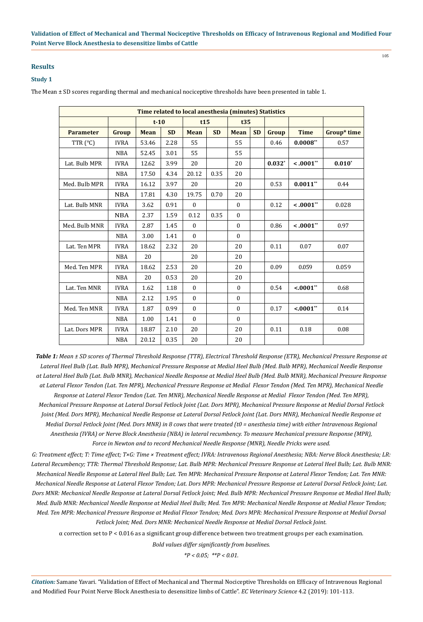### **Results**

### **Study 1**

The Mean ± SD scores regarding thermal and mechanical nociceptive thresholds have been presented in table 1.

| Time related to local anesthesia (minutes) Statistics |             |                          |      |              |           |              |           |          |              |             |  |  |  |
|-------------------------------------------------------|-------------|--------------------------|------|--------------|-----------|--------------|-----------|----------|--------------|-------------|--|--|--|
|                                                       |             | $t-10$                   |      | t15          |           | t35          |           |          |              |             |  |  |  |
| <b>Parameter</b>                                      | Group       | <b>SD</b><br><b>Mean</b> |      | <b>Mean</b>  | <b>SD</b> | <b>Mean</b>  | <b>SD</b> | Group    | <b>Time</b>  | Group* time |  |  |  |
| TTR (°C)                                              | <b>IVRA</b> | 53.46                    | 2.28 | 55           |           | 55           |           | 0.46     | $0.0008**$   | 0.57        |  |  |  |
|                                                       | <b>NBA</b>  | 52.45                    | 3.01 | 55           |           | 55           |           |          |              |             |  |  |  |
| Lat. Bulb MPR                                         | <b>IVRA</b> | 12.62                    | 3.99 | 20           |           | 20           |           | $0.032*$ | $< .0001**$  | $0.010*$    |  |  |  |
|                                                       | <b>NBA</b>  | 17.50                    | 4.34 | 20.12        | 0.35      | 20           |           |          |              |             |  |  |  |
| Med. Bulb MPR                                         | <b>IVRA</b> | 16.12                    | 3.97 | 20           |           | 20           |           | 0.53     | $0.0011**$   | 0.44        |  |  |  |
|                                                       | <b>NBA</b>  | 17.81                    | 4.30 | 19.75        | 0.70      | 20           |           |          |              |             |  |  |  |
| Lat. Bulb MNR                                         | <b>IVRA</b> | 3.62                     | 0.91 | $\mathbf{0}$ |           | $\mathbf{0}$ |           | 0.12     | $< .0001$ ** | 0.028       |  |  |  |
|                                                       | <b>NBA</b>  | 2.37                     | 1.59 | 0.12         | 0.35      | $\mathbf{0}$ |           |          |              |             |  |  |  |
| Med. Bulb MNR                                         | <b>IVRA</b> | 2.87                     | 1.45 | $\mathbf{0}$ |           | $\mathbf{0}$ |           | 0.86     | $< .0001$ ** | 0.97        |  |  |  |
|                                                       | <b>NBA</b>  | 3.00                     | 1.41 | $\mathbf{0}$ |           | $\mathbf{0}$ |           |          |              |             |  |  |  |
| Lat. Ten MPR                                          | <b>IVRA</b> | 18.62                    | 2.32 | 20           |           | 20           |           | 0.11     | 0.07         | 0.07        |  |  |  |
|                                                       | <b>NBA</b>  | 20                       |      | 20           |           | 20           |           |          |              |             |  |  |  |
| Med. Ten MPR                                          | <b>IVRA</b> | 18.62                    | 2.53 | 20           |           | 20           |           | 0.09     | 0.059        | 0.059       |  |  |  |
|                                                       | <b>NBA</b>  | 20                       | 0.53 | 20           |           | 20           |           |          |              |             |  |  |  |
| Lat. Ten MNR                                          | <b>IVRA</b> | 1.62                     | 1.18 | $\theta$     |           | $\mathbf{0}$ |           | 0.54     | $< .0001$ ** | 0.68        |  |  |  |
|                                                       | <b>NBA</b>  | 2.12                     | 1.95 | $\Omega$     |           | $\mathbf{0}$ |           |          |              |             |  |  |  |
| Med. Ten MNR                                          | <b>IVRA</b> | 1.87                     | 0.99 | $\Omega$     |           | $\mathbf{0}$ |           | 0.17     | $< .0001**$  | 0.14        |  |  |  |
|                                                       | <b>NBA</b>  | 1.00                     | 1.41 | $\mathbf{0}$ |           | $\Omega$     |           |          |              |             |  |  |  |
| Lat. Dors MPR                                         | <b>IVRA</b> | 18.87                    | 2.10 | 20           |           | 20           |           | 0.11     | 0.18         | 0.08        |  |  |  |
|                                                       | <b>NBA</b>  | 20.12                    | 0.35 | 20           |           | 20           |           |          |              |             |  |  |  |

*Table 1: Mean ± SD scores of Thermal Threshold Response (TTR), Electrical Threshold Response (ETR), Mechanical Pressure Response at Lateral Heel Bulb (Lat. Bulb MPR), Mechanical Pressure Response at Medial Heel Bulb (Med. Bulb MPR), Mechanical Needle Response at Lateral Heel Bulb (Lat. Bulb MNR), Mechanical Needle Response at Medial Heel Bulb (Med. Bulb MNR), Mechanical Pressure Response at Lateral Flexor Tendon (Lat. Ten MPR), Mechanical Pressure Response at Medial Flexor Tendon (Med. Ten MPR), Mechanical Needle Response at Lateral Flexor Tendon (Lat. Ten MNR), Mechanical Needle Response at Medial Flexor Tendon (Med. Ten MPR), Mechanical Pressure Response at Lateral Dorsal Fetlock Joint (Lat. Dors MPR), Mechanical Pressure Response at Medial Dorsal Fetlock Joint (Med. Dors MPR), Mechanical Needle Response at Lateral Dorsal Fetlock Joint (Lat. Dors MNR), Mechanical Needle Response at Medial Dorsal Fetlock Joint (Med. Dors MNR) in 8 cows that were treated (t0 = anesthesia time) with either Intravenous Regional Anesthesia (IVRA) or Nerve Block Anesthesia (NBA) in lateral recumbency. To measure Mechanical pressure Response (MPR), Force in Newton and to record Mechanical Needle Response (MNR), Needle Pricks were used.*

*G: Treatment effect; T: Time effect; T×G: Time × Treatment effect; IVRA: Intravenous Regional Anesthesia; NBA: Nerve Block Anesthesia; LR: Lateral Recumbency; TTR: Thermal Threshold Response; Lat. Bulb MPR: Mechanical Pressure Response at Lateral Heel Bulb; Lat. Bulb MNR: Mechanical Needle Response at Lateral Heel Bulb; Lat. Ten MPR: Mechanical Pressure Response at Lateral Flexor Tendon; Lat. Ten MNR: Mechanical Needle Response at Lateral Flexor Tendon; Lat. Dors MPR: Mechanical Pressure Response at Lateral Dorsal Fetlock Joint; Lat. Dors MNR: Mechanical Needle Response at Lateral Dorsal Fetlock Joint; Med. Bulb MPR: Mechanical Pressure Response at Medial Heel Bulb; Med. Bulb MNR: Mechanical Needle Response at Medial Heel Bulb; Med. Ten MPR: Mechanical Needle Response at Medial Flexor Tendon; Med. Ten MPR: Mechanical Pressure Response at Medial Flexor Tendon; Med. Dors MPR: Mechanical Pressure Response at Medial Dorsal Fetlock Joint; Med. Dors MNR: Mechanical Needle Response at Medial Dorsal Fetlock Joint.*

 $\alpha$  correction set to P < 0.016 as a significant group difference between two treatment groups per each examination.

*Bold values differ significantly from baselines.* 

*\*P < 0.05; \*\*P < 0.01.*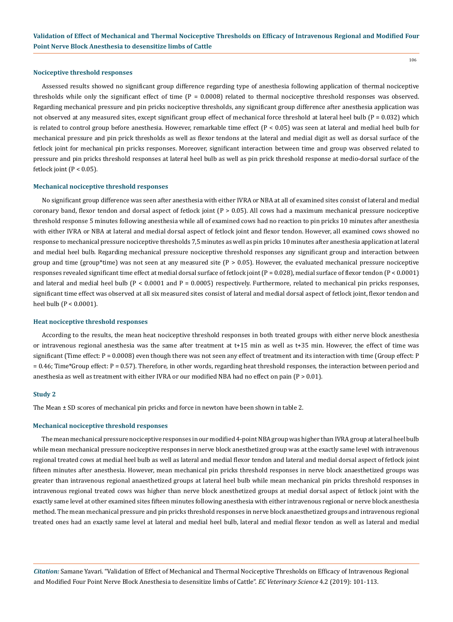#### **Nociceptive threshold responses**

Assessed results showed no significant group difference regarding type of anesthesia following application of thermal nociceptive thresholds while only the significant effect of time  $(P = 0.0008)$  related to thermal nociceptive threshold responses was observed. Regarding mechanical pressure and pin pricks nociceptive thresholds, any significant group difference after anesthesia application was not observed at any measured sites, except significant group effect of mechanical force threshold at lateral heel bulb (P = 0.032) which is related to control group before anesthesia. However, remarkable time effect (P < 0.05) was seen at lateral and medial heel bulb for mechanical pressure and pin prick thresholds as well as flexor tendons at the lateral and medial digit as well as dorsal surface of the fetlock joint for mechanical pin pricks responses. Moreover, significant interaction between time and group was observed related to pressure and pin pricks threshold responses at lateral heel bulb as well as pin prick threshold response at medio-dorsal surface of the fetlock joint  $(P < 0.05)$ .

#### **Mechanical nociceptive threshold responses**

No significant group difference was seen after anesthesia with either IVRA or NBA at all of examined sites consist of lateral and medial coronary band, flexor tendon and dorsal aspect of fetlock joint  $(P > 0.05)$ . All cows had a maximum mechanical pressure nociceptive threshold response 5 minutes following anesthesia while all of examined cows had no reaction to pin pricks 10 minutes after anesthesia with either IVRA or NBA at lateral and medial dorsal aspect of fetlock joint and flexor tendon. However, all examined cows showed no response to mechanical pressure nociceptive thresholds 7,5 minutes as well as pin pricks 10 minutes after anesthesia application at lateral and medial heel bulb. Regarding mechanical pressure nociceptive threshold responses any significant group and interaction between group and time (group\*time) was not seen at any measured site  $(P > 0.05)$ . However, the evaluated mechanical pressure nociceptive responses revealed significant time effect at medial dorsal surface of fetlock joint (P = 0.028), medial surface of flexor tendon (P < 0.0001) and lateral and medial heel bulb ( $P < 0.0001$  and  $P = 0.0005$ ) respectively. Furthermore, related to mechanical pin pricks responses, significant time effect was observed at all six measured sites consist of lateral and medial dorsal aspect of fetlock joint, flexor tendon and heel bulb (P < 0.0001).

#### **Heat nociceptive threshold responses**

According to the results, the mean heat nociceptive threshold responses in both treated groups with either nerve block anesthesia or intravenous regional anesthesia was the same after treatment at t+15 min as well as t+35 min. However, the effect of time was significant (Time effect: P = 0.0008) even though there was not seen any effect of treatment and its interaction with time (Group effect: P = 0.46; Time\*Group effect: P = 0.57). Therefore, in other words, regarding heat threshold responses, the interaction between period and anesthesia as well as treatment with either IVRA or our modified NBA had no effect on pain  $(P > 0.01)$ .

### **Study 2**

The Mean  $\pm$  SD scores of mechanical pin pricks and force in newton have been shown in table 2.

### **Mechanical nociceptive threshold responses**

The mean mechanical pressure nociceptive responses in our modified 4-point NBA group was higher than IVRA group at lateral heel bulb while mean mechanical pressure nociceptive responses in nerve block anesthetized group was at the exactly same level with intravenous regional treated cows at medial heel bulb as well as lateral and medial flexor tendon and lateral and medial dorsal aspect of fetlock joint fifteen minutes after anesthesia. However, mean mechanical pin pricks threshold responses in nerve block anaesthetized groups was greater than intravenous regional anaesthetized groups at lateral heel bulb while mean mechanical pin pricks threshold responses in intravenous regional treated cows was higher than nerve block anesthetized groups at medial dorsal aspect of fetlock joint with the exactly same level at other examined sites fifteen minutes following anesthesia with either intravenous regional or nerve block anesthesia method. The mean mechanical pressure and pin pricks threshold responses in nerve block anaesthetized groups and intravenous regional treated ones had an exactly same level at lateral and medial heel bulb, lateral and medial flexor tendon as well as lateral and medial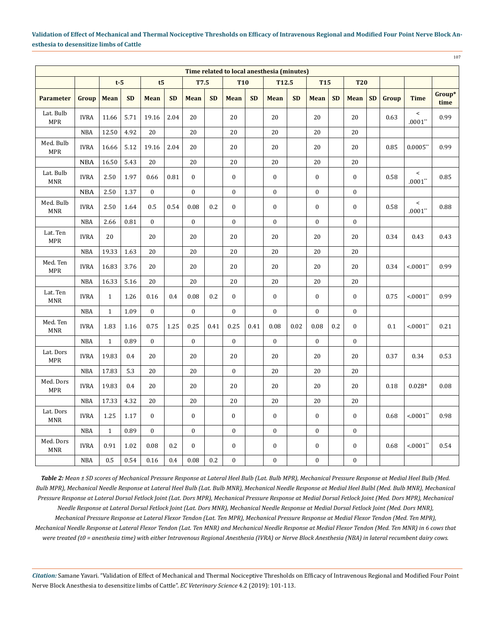107

| Time related to local anesthesia (minutes) |             |              |           |                |           |              |           |                  |           |                  |           |                  |           |                  |           |       |                    |                |
|--------------------------------------------|-------------|--------------|-----------|----------------|-----------|--------------|-----------|------------------|-----------|------------------|-----------|------------------|-----------|------------------|-----------|-------|--------------------|----------------|
|                                            |             | $t-5$        |           | t <sub>5</sub> |           | <b>T7.5</b>  |           | <b>T10</b>       |           | T12.5            |           | <b>T15</b>       |           | <b>T20</b>       |           |       |                    |                |
| <b>Parameter</b>                           | Group       | <b>Mean</b>  | <b>SD</b> | <b>Mean</b>    | <b>SD</b> | <b>Mean</b>  | <b>SD</b> | <b>Mean</b>      | <b>SD</b> | <b>Mean</b>      | <b>SD</b> | Mean             | <b>SD</b> | <b>Mean</b>      | <b>SD</b> | Group | <b>Time</b>        | Group*<br>time |
| Lat. Bulb<br><b>MPR</b>                    | <b>IVRA</b> | 11.66        | 5.71      | 19.16          | 2.04      | 20           |           | 20               |           | 20               |           | 20               |           | 20               |           | 0.63  | $\,<$<br>$.0001**$ | 0.99           |
|                                            | <b>NBA</b>  | 12.50        | 4.92      | $20\,$         |           | 20           |           | 20               |           | 20               |           | 20               |           | 20               |           |       |                    |                |
| Med. Bulb<br><b>MPR</b>                    | <b>IVRA</b> | 16.66        | 5.12      | 19.16          | 2.04      | 20           |           | 20               |           | $20\,$           |           | 20               |           | $20\,$           |           | 0.85  | $0.0005**$         | 0.99           |
|                                            | <b>NBA</b>  | 16.50        | 5.43      | 20             |           | 20           |           | 20               |           | $20\,$           |           | $20\,$           |           | $20\,$           |           |       |                    |                |
| Lat. Bulb<br><b>MNR</b>                    | <b>IVRA</b> | 2.50         | 1.97      | 0.66           | 0.81      | $\mathbf{0}$ |           | $\boldsymbol{0}$ |           | $\boldsymbol{0}$ |           | $\boldsymbol{0}$ |           | $\bf{0}$         |           | 0.58  | $\,<$<br>$.0001**$ | 0.85           |
|                                            | <b>NBA</b>  | 2.50         | 1.37      | $\mathbf{0}$   |           | $\mathbf{0}$ |           | $\mathbf{0}$     |           | $\boldsymbol{0}$ |           | $\boldsymbol{0}$ |           | $\boldsymbol{0}$ |           |       |                    |                |
| Med. Bulb<br><b>MNR</b>                    | <b>IVRA</b> | 2.50         | 1.64      | 0.5            | 0.54      | 0.08         | 0.2       | $\overline{0}$   |           | $\boldsymbol{0}$ |           | $\boldsymbol{0}$ |           | $\boldsymbol{0}$ |           | 0.58  | $\,<$<br>$.0001**$ | 0.88           |
|                                            | <b>NBA</b>  | 2.66         | 0.81      | $\mathbf{0}$   |           | $\mathbf{0}$ |           | $\mathbf{0}$     |           | $\boldsymbol{0}$ |           | $\mathbf{0}$     |           | $\boldsymbol{0}$ |           |       |                    |                |
| Lat. Ten<br><b>MPR</b>                     | <b>IVRA</b> | 20           |           | 20             |           | 20           |           | 20               |           | $20\,$           |           | 20               |           | 20               |           | 0.34  | 0.43               | 0.43           |
|                                            | <b>NBA</b>  | 19.33        | 1.63      | 20             |           | 20           |           | 20               |           | 20               |           | 20               |           | 20               |           |       |                    |                |
| Med. Ten<br><b>MPR</b>                     | <b>IVRA</b> | 16.83        | 3.76      | 20             |           | 20           |           | 20               |           | $20\,$           |           | 20               |           | $20\,$           |           | 0.34  | $< 0001$ **        | 0.99           |
|                                            | <b>NBA</b>  | 16.33        | 5.16      | 20             |           | 20           |           | 20               |           | $20\,$           |           | $20\,$           |           | $20\,$           |           |       |                    |                |
| Lat. Ten<br><b>MNR</b>                     | <b>IVRA</b> | $\mathbf{1}$ | 1.26      | 0.16           | 0.4       | 0.08         | 0.2       | $\mathbf{0}$     |           | $\boldsymbol{0}$ |           | $\boldsymbol{0}$ |           | $\bf{0}$         |           | 0.75  | $< 0001$ **        | 0.99           |
|                                            | <b>NBA</b>  | $\mathbf{1}$ | 1.09      | $\mathbf{0}$   |           | $\mathbf{0}$ |           | $\boldsymbol{0}$ |           | $\boldsymbol{0}$ |           | $\boldsymbol{0}$ |           | $\boldsymbol{0}$ |           |       |                    |                |
| Med. Ten<br><b>MNR</b>                     | <b>IVRA</b> | 1.83         | 1.16      | 0.75           | 1.25      | 0.25         | 0.41      | 0.25             | 0.41      | 0.08             | 0.02      | 0.08             | 0.2       | $\mathbf{0}$     |           | 0.1   | $< 0001$ **        | 0.21           |
|                                            | <b>NBA</b>  | $\mathbf{1}$ | 0.89      | $\mathbf{0}$   |           | $\mathbf{0}$ |           | $\mathbf{0}$     |           | $\mathbf{0}$     |           | $\mathbf{0}$     |           | $\mathbf{0}$     |           |       |                    |                |
| Lat. Dors<br><b>MPR</b>                    | <b>IVRA</b> | 19.83        | 0.4       | 20             |           | 20           |           | 20               |           | $20\,$           |           | 20               |           | 20               |           | 0.37  | 0.34               | 0.53           |
|                                            | NBA         | 17.83        | 5.3       | $20\,$         |           | $20\,$       |           | $\boldsymbol{0}$ |           | 20               |           | $20\,$           |           | $20\,$           |           |       |                    |                |
| Med. Dors<br><b>MPR</b>                    | <b>IVRA</b> | 19.83        | 0.4       | 20             |           | 20           |           | 20               |           | $20\,$           |           | 20               |           | 20               |           | 0.18  | $0.028*$           | 0.08           |
|                                            | <b>NBA</b>  | 17.33        | 4.32      | 20             |           | 20           |           | 20               |           | 20               |           | 20               |           | 20               |           |       |                    |                |
| Lat. Dors<br><b>MNR</b>                    | <b>IVRA</b> | 1.25         | 1.17      | $\bf{0}$       |           | $\mathbf{0}$ |           | $\mathbf{0}$     |           | $\boldsymbol{0}$ |           | $\mathbf{0}$     |           | $\bf{0}$         |           | 0.68  | $< 0001**$         | 0.98           |
|                                            | NBA         | $\mathbf{1}$ | 0.89      | $\mathbf{0}$   |           | $\mathbf{0}$ |           | $\boldsymbol{0}$ |           | $\boldsymbol{0}$ |           | $\boldsymbol{0}$ |           | $\boldsymbol{0}$ |           |       |                    |                |
| Med. Dors<br><b>MNR</b>                    | <b>IVRA</b> | 0.91         | 1.02      | 0.08           | 0.2       | $\mathbf{0}$ |           | $\mathbf{0}$     |           | $\boldsymbol{0}$ |           | $\bf{0}$         |           | $\bf{0}$         |           | 0.68  | $< 0001**$         | 0.54           |
|                                            | <b>NBA</b>  | 0.5          | 0.54      | 0.16           | $0.4\,$   | $0.08\,$     | 0.2       | $\boldsymbol{0}$ |           | $\boldsymbol{0}$ |           | $\boldsymbol{0}$ |           | $\boldsymbol{0}$ |           |       |                    |                |

*Table 2: Mean ± SD scores of Mechanical Pressure Response at Lateral Heel Bulb (Lat. Bulb MPR), Mechanical Pressure Response at Medial Heel Bulb (Med. Bulb MPR), Mechanical Needle Response at Lateral Heel Bulb (Lat. Bulb MNR), Mechanical Needle Response at Medial Heel Bulbl (Med. Bulb MNR), Mechanical Pressure Response at Lateral Dorsal Fetlock Joint (Lat. Dors MPR), Mechanical Pressure Response at Medial Dorsal Fetlock Joint (Med. Dors MPR), Mechanical Needle Response at Lateral Dorsal Fetlock Joint (Lat. Dors MNR), Mechanical Needle Response at Medial Dorsal Fetlock Joint (Med. Dors MNR), Mechanical Pressure Response at Lateral Flexor Tendon (Lat. Ten MPR), Mechanical Pressure Response at Medial Flexor Tendon (Med. Ten MPR), Mechanical Needle Response at Lateral Flexor Tendon (Lat. Ten MNR) and Mechanical Needle Response at Medial Flexor Tendon (Med. Ten MNR) in 6 cows that were treated (t0 = anesthesia time) with either Intravenous Regional Anesthesia (IVRA) or Nerve Block Anesthesia (NBA) in lateral recumbent dairy cows.*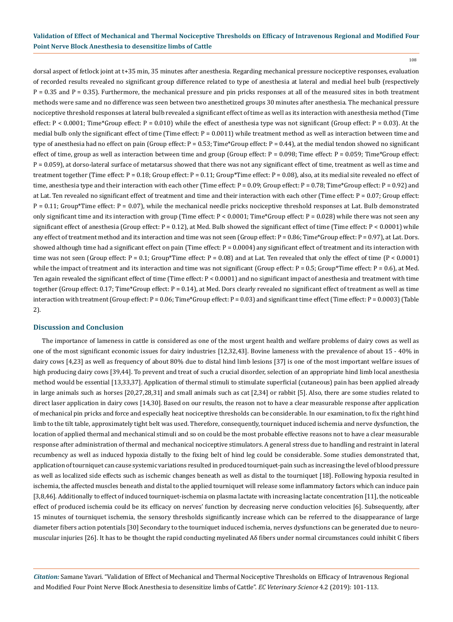108

dorsal aspect of fetlock joint at t+35 min, 35 minutes after anesthesia. Regarding mechanical pressure nociceptive responses, evaluation of recorded results revealed no significant group difference related to type of anesthesia at lateral and medial heel bulb (respectively P = 0.35 and P = 0.35). Furthermore, the mechanical pressure and pin pricks responses at all of the measured sites in both treatment methods were same and no difference was seen between two anesthetized groups 30 minutes after anesthesia. The mechanical pressure nociceptive threshold responses at lateral bulb revealed a significant effect of time as well as its interaction with anesthesia method (Time effect:  $P < 0.0001$ ; Time\*Group effect:  $P = 0.010$ ) while the effect of anesthesia type was not significant (Group effect:  $P = 0.03$ ). At the medial bulb only the significant effect of time (Time effect:  $P = 0.0011$ ) while treatment method as well as interaction between time and type of anesthesia had no effect on pain (Group effect: P = 0.53; Time\*Group effect: P = 0.44), at the medial tendon showed no significant effect of time, group as well as interaction between time and group (Group effect:  $P = 0.098$ ; Time effect:  $P = 0.059$ ; Time\*Group effect: P = 0.059), at dorso-lateral surface of metatarsus showed that there was not any significant effect of time, treatment as well as time and treatment together (Time effect: P = 0.18; Group effect: P = 0.11; Group\*Time effect: P = 0.08), also, at its medial site revealed no effect of time, anesthesia type and their interaction with each other (Time effect: P = 0.09; Group effect: P = 0.78; Time\*Group effect: P = 0.92) and at Lat. Ten revealed no significant effect of treatment and time and their interaction with each other (Time effect:  $P = 0.07$ ; Group effect: P = 0.11; Group\*Time effect: P = 0.07), while the mechanical needle pricks nociceptive threshold responses at Lat. Bulb demonstrated only significant time and its interaction with group (Time effect:  $P < 0.0001$ ; Time\*Group effect:  $P = 0.028$ ) while there was not seen any significant effect of anesthesia (Group effect: P = 0.12), at Med. Bulb showed the significant effect of time (Time effect: P < 0.0001) while any effect of treatment method and its interaction and time was not seen (Group effect: P = 0.86; Time\*Group effect: P = 0.97), at Lat. Dors. showed although time had a significant effect on pain (Time effect:  $P = 0.0004$ ) any significant effect of treatment and its interaction with time was not seen (Group effect:  $P = 0.1$ ; Group\*Time effect:  $P = 0.08$ ) and at Lat. Ten revealed that only the effect of time ( $P < 0.0001$ ) while the impact of treatment and its interaction and time was not significant (Group effect:  $P = 0.5$ ; Group\*Time effect:  $P = 0.6$ ), at Med. Ten again revealed the significant effect of time (Time effect: P < 0.0001) and no significant impact of anesthesia and treatment with time together (Group effect: 0.17; Time\*Group effect: P = 0.14), at Med. Dors clearly revealed no significant effect of treatment as well as time interaction with treatment (Group effect: P = 0.06; Time\*Group effect: P = 0.03) and significant time effect (Time effect: P = 0.0003) (Table 2).

### **Discussion and Conclusion**

The importance of lameness in cattle is considered as one of the most urgent health and welfare problems of dairy cows as well as one of the most significant economic issues for dairy industries [12,32,43]. Bovine lameness with the prevalence of about 15 - 40% in dairy cows [4,23] as well as frequency of about 80% due to distal hind limb lesions [37] is one of the most important welfare issues of high producing dairy cows [39,44]. To prevent and treat of such a crucial disorder, selection of an appropriate hind limb local anesthesia method would be essential [13,33,37]. Application of thermal stimuli to stimulate superficial (cutaneous) pain has been applied already in large animals such as horses [20,27,28,31] and small animals such as cat [2,34] or rabbit [5]. Also, there are some studies related to direct laser application in dairy cows [14,30]. Based on our results, the reason not to have a clear measurable response after application of mechanical pin pricks and force and especially heat nociceptive thresholds can be considerable. In our examination, to fix the right hind limb to the tilt table, approximately tight belt was used. Therefore, consequently, tourniquet induced ischemia and nerve dysfunction, the location of applied thermal and mechanical stimuli and so on could be the most probable effective reasons not to have a clear measurable response after administration of thermal and mechanical nociceptive stimulators. A general stress due to handling and restraint in lateral recumbency as well as induced hypoxia distally to the fixing belt of hind leg could be considerable. Some studies demonstrated that, application of tourniquet can cause systemic variations resulted in produced tourniquet-pain such as increasing the level of blood pressure as well as localized side effects such as ischemic changes beneath as well as distal to the tourniquet [18]. Following hypoxia resulted in ischemia, the affected muscles beneath and distal to the applied tourniquet will release some inflammatory factors which can induce pain [3,8,46]. Additionally to effect of induced tourniquet-ischemia on plasma lactate with increasing lactate concentration [11], the noticeable effect of produced ischemia could be its efficacy on nerves' function by decreasing nerve conduction velocities [6]. Subsequently, after 15 minutes of tourniquet ischemia, the sensory thresholds significantly increase which can be referred to the disappearance of large diameter fibers action potentials [30] Secondary to the tourniquet induced ischemia, nerves dysfunctions can be generated due to neuromuscular injuries [26]. It has to be thought the rapid conducting myelinated Aδ fibers under normal circumstances could inhibit C fibers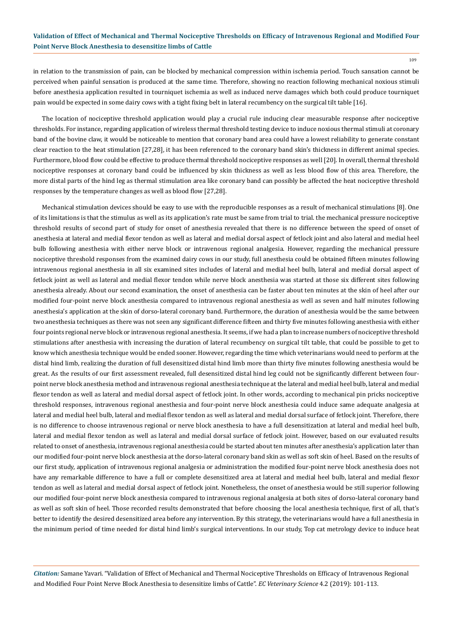in relation to the transmission of pain, can be blocked by mechanical compression within ischemia period. Touch sansation cannot be perceived when painful sensation is produced at the same time. Therefore, showing no reaction following mechanical noxious stimuli before anesthesia application resulted in tourniquet ischemia as well as induced nerve damages which both could produce tourniquet pain would be expected in some dairy cows with a tight fixing belt in lateral recumbency on the surgical tilt table [16].

The location of nociceptive threshold application would play a crucial rule inducing clear measurable response after nociceptive thresholds. For instance, regarding application of wireless thermal threshold testing device to induce noxious thermal stimuli at coronary band of the bovine claw, it would be noticeable to mention that coronary band area could have a lowest reliability to generate constant clear reaction to the heat stimulation [27,28], it has been referenced to the coronary band skin's thickness in different animal species. Furthermore, blood flow could be effective to produce thermal threshold nociceptive responses as well [20]. In overall, thermal threshold nociceptive responses at coronary band could be influenced by skin thickness as well as less blood flow of this area. Therefore, the more distal parts of the hind leg as thermal stimulation area like coronary band can possibly be affected the heat nociceptive threshold responses by the temperature changes as well as blood flow [27,28].

Mechanical stimulation devices should be easy to use with the reproducible responses as a result of mechanical stimulations [8]. One of its limitations is that the stimulus as well as its application's rate must be same from trial to trial. the mechanical pressure nociceptive threshold results of second part of study for onset of anesthesia revealed that there is no difference between the speed of onset of anesthesia at lateral and medial flexor tendon as well as lateral and medial dorsal aspect of fetlock joint and also lateral and medial heel bulb following anesthesia with either nerve block or intravenous regional analgesia. However, regarding the mechanical pressure nociceptive threshold responses from the examined dairy cows in our study, full anesthesia could be obtained fifteen minutes following intravenous regional anesthesia in all six examined sites includes of lateral and medial heel bulb, lateral and medial dorsal aspect of fetlock joint as well as lateral and medial flexor tendon while nerve block anesthesia was started at those six different sites following anesthesia already. About our second examination, the onset of anesthesia can be faster about ten minutes at the skin of heel after our modified four-point nerve block anesthesia compared to intravenous regional anesthesia as well as seven and half minutes following anesthesia's application at the skin of dorso-lateral coronary band. Furthermore, the duration of anesthesia would be the same between two anesthesia techniques as there was not seen any significant difference fifteen and thirty five minutes following anesthesia with either four points regional nerve block or intravenous regional anesthesia. It seems, if we had a plan to increase numbers of nociceptive threshold stimulations after anesthesia with increasing the duration of lateral recumbency on surgical tilt table, that could be possible to get to know which anesthesia technique would be ended sooner. However, regarding the time which veterinarians would need to perform at the distal hind limb, realizing the duration of full desensitized distal hind limb more than thirty five minutes following anesthesia would be great. As the results of our first assessment revealed, full desensitized distal hind leg could not be significantly different between fourpoint nerve block anesthesia method and intravenous regional anesthesia technique at the lateral and medial heel bulb, lateral and medial flexor tendon as well as lateral and medial dorsal aspect of fetlock joint. In other words, according to mechanical pin pricks nociceptive threshold responses, intravenous regional anesthesia and four-point nerve block anesthesia could induce same adequate analgesia at lateral and medial heel bulb, lateral and medial flexor tendon as well as lateral and medial dorsal surface of fetlock joint. Therefore, there is no difference to choose intravenous regional or nerve block anesthesia to have a full desensitization at lateral and medial heel bulb, lateral and medial flexor tendon as well as lateral and medial dorsal surface of fetlock joint. However, based on our evaluated results related to onset of anesthesia, intravenous regional anesthesia could be started about ten minutes after anesthesia's application later than our modified four-point nerve block anesthesia at the dorso-lateral coronary band skin as well as soft skin of heel. Based on the results of our first study, application of intravenous regional analgesia or administration the modified four-point nerve block anesthesia does not have any remarkable difference to have a full or complete desensitized area at lateral and medial heel bulb, lateral and medial flexor tendon as well as lateral and medial dorsal aspect of fetlock joint. Nonetheless, the onset of anesthesia would be still superior following our modified four-point nerve block anesthesia compared to intravenous regional analgesia at both sites of dorso-lateral coronary band as well as soft skin of heel. Those recorded results demonstrated that before choosing the local anesthesia technique, first of all, that's better to identify the desired desensitized area before any intervention. By this strategy, the veterinarians would have a full anesthesia in the minimum period of time needed for distal hind limb's surgical interventions. In our study, Top cat metrology device to induce heat

*Citation:* Samane Yavari*.* "Validation of Effect of Mechanical and Thermal Nociceptive Thresholds on Efficacy of Intravenous Regional and Modified Four Point Nerve Block Anesthesia to desensitize limbs of Cattle". *EC Veterinary Science* 4.2 (2019): 101-113.

109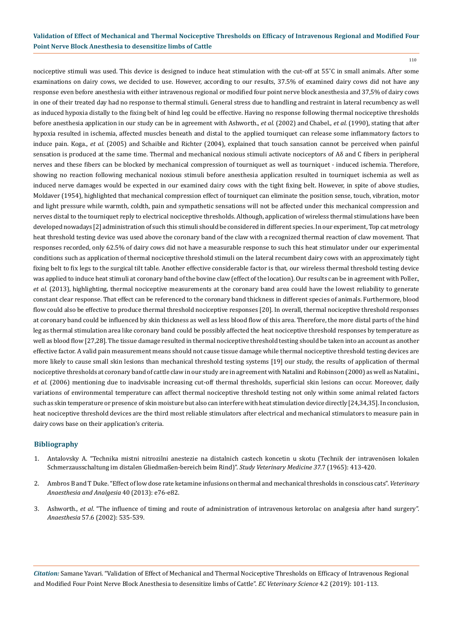110

nociceptive stimuli was used. This device is designed to induce heat stimulation with the cut-off at 55˚C in small animals. After some examinations on dairy cows, we decided to use. However, according to our results, 37.5% of examined dairy cows did not have any response even before anesthesia with either intravenous regional or modified four point nerve block anesthesia and 37,5% of dairy cows in one of their treated day had no response to thermal stimuli. General stress due to handling and restraint in lateral recumbency as well as induced hypoxia distally to the fixing belt of hind leg could be effective. Having no response following thermal nociceptive thresholds before anesthesia application in our study can be in agreement with Ashworth., *et al.* (2002) and Chabel., *et al.* (1990), stating that after hypoxia resulted in ischemia, affected muscles beneath and distal to the applied tourniquet can release some inflammatory factors to induce pain. Koga., *et al.* (2005) and Schaible and Richter (2004), explained that touch sansation cannot be perceived when painful sensation is produced at the same time. Thermal and mechanical noxious stimuli activate nociceptors of Aδ and C fibers in peripheral nerves and these fibers can be blocked by mechanical compression of tourniquet as well as tourniquet - induced ischemia. Therefore, showing no reaction following mechanical noxious stimuli before anesthesia application resulted in tourniquet ischemia as well as induced nerve damages would be expected in our examined dairy cows with the tight fixing belt. However, in spite of above studies, Moldaver (1954), highlighted that mechanical compression effect of tourniquet can eliminate the position sense, touch, vibration, motor and light pressure while warmth, coldth, pain and sympathetic sensations will not be affected under this mechanical compression and nerves distal to the tourniquet reply to electrical nociceptive thresholds. Although, application of wireless thermal stimulations have been developed nowadays [2] administration of such this stimuli should be considered in different species. In our experiment, Top cat metrology heat threshold testing device was used above the coronary band of the claw with a recognized thermal reaction of claw movement. That responses recorded, only 62.5% of dairy cows did not have a measurable response to such this heat stimulator under our experimental conditions such as application of thermal nociceptive threshold stimuli on the lateral recumbent dairy cows with an approximately tight fixing belt to fix legs to the surgical tilt table. Another effective considerable factor is that, our wireless thermal threshold testing device was applied to induce heat stimuli at coronary band of the bovine claw (effect of the location). Our results can be in agreement with Poller., *et al.* (2013), highlighting, thermal nociceptive measurements at the coronary band area could have the lowest reliability to generate constant clear response. That effect can be referenced to the coronary band thickness in different species of animals. Furthermore, blood flow could also be effective to produce thermal threshold nociceptive responses [20]. In overall, thermal nociceptive threshold responses at coronary band could be influenced by skin thickness as well as less blood flow of this area. Therefore, the more distal parts of the hind leg as thermal stimulation area like coronary band could be possibly affected the heat nociceptive threshold responses by temperature as well as blood flow [27,28]. The tissue damage resulted in thermal nociceptive threshold testing should be taken into an account as another effective factor. A valid pain measurement means should not cause tissue damage while thermal nociceptive threshold testing devices are more likely to cause small skin lesions than mechanical threshold testing systems [19] our study, the results of application of thermal nociceptive thresholds at coronary band of cattle claw in our study are in agreement with Natalini and Robinson (2000) as well as Natalini., *et al.* (2006) mentioning due to inadvisable increasing cut-off thermal thresholds, superficial skin lesions can occur. Moreover, daily variations of environmental temperature can affect thermal nociceptive threshold testing not only within some animal related factors such as skin temperature or presence of skin moisture but also can interfere with heat stimulation device directly [24,34,35]. In conclusion, heat nociceptive threshold devices are the third most reliable stimulators after electrical and mechanical stimulators to measure pain in dairy cows base on their application's criteria.

## **Bibliography**

- 1. [Antalovsky A. "Technika mistni nitrozilni anestezie na distalnich castech koncetin u skotu \(Technik der intravenösen lokalen](https://www.thieme-connect.com/products/ejournals/abstract/10.1055/s-0038-1624042)  [Schmerzausschaltung im distalen Gliedmaßen-bereich beim Rind\)".](https://www.thieme-connect.com/products/ejournals/abstract/10.1055/s-0038-1624042) *Study Veterinary Medicine 37.*7 (1965): 413-420.
- 2. [Ambros B and T Duke. "Effect of low dose rate ketamine infusions on thermal and mechanical thresholds in conscious cats".](https://www.ncbi.nlm.nih.gov/pubmed/23782722) *Veterinary [Anaesthesia and Analgesia](https://www.ncbi.nlm.nih.gov/pubmed/23782722)* 40 (2013): e76-e82.
- 3. Ashworth., *et al*[. "The influence of timing and route of administration of intravenous ketorolac on analgesia after hand surgery".](https://www.ncbi.nlm.nih.gov/pubmed/12010266) *Anaesthesia* [57.6 \(2002\): 535-539.](https://www.ncbi.nlm.nih.gov/pubmed/12010266)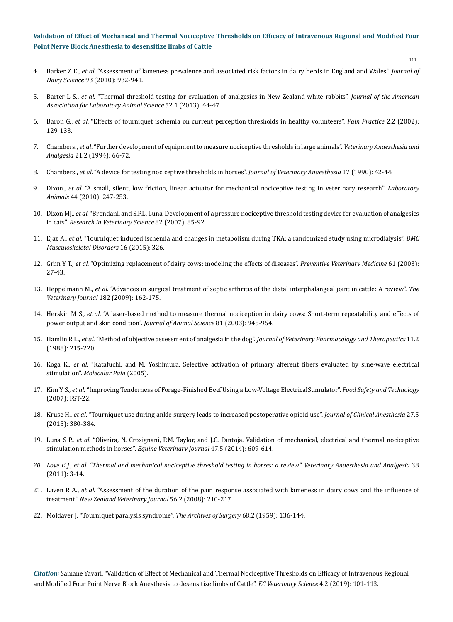- 4. Barker Z E., *et al*[. "Assessment of lameness prevalence and associated risk factors in dairy herds in England and Wales".](https://www.ncbi.nlm.nih.gov/pubmed/20172213) *Journal of Dairy Science* [93 \(2010\): 932-941.](https://www.ncbi.nlm.nih.gov/pubmed/20172213)
- 5. Barter L S., *et al*[. "Thermal threshold testing for evaluation of analgesics in New Zealand white rabbits".](https://www.ncbi.nlm.nih.gov/pubmed/23562032) *Journal of the American [Association for Laboratory Animal Science](https://www.ncbi.nlm.nih.gov/pubmed/23562032)* 52.1 (2013): 44-47.
- 6. Baron G., *et al*[. "Effects of tourniquet ischemia on current perception thresholds in healthy volunteers".](https://www.ncbi.nlm.nih.gov/pubmed/17147686) *Pain Practice* 2.2 (2002): [129-133.](https://www.ncbi.nlm.nih.gov/pubmed/17147686)
- 7. Chambers., *et al*[. "Further development of equipment to measure nociceptive thresholds in large animals".](https://www.sciencedirect.com/science/article/pii/S1351657416300870) *Veterinary Anaesthesia and Analgesia* [21.2 \(1994\): 66-72.](https://www.sciencedirect.com/science/article/pii/S1351657416300870)
- 8. Chambers., *et al*[. "A device for testing nociceptive thresholds in horses".](https://www.sciencedirect.com/science/article/pii/S0950781716300151) *Journal of Veterinary Anaesthesia* 17 (1990): 42-44.
- 9. Dixon., *et al*[. "A small, silent, low friction, linear actuator for mechanical nociceptive testing in veterinary research".](https://www.researchgate.net/publication/44587670_A_small_silent_low_friction_linear_actuator_for_mechanical_nociceptive_testing_in_veterinary_research) *Laboratory Animals* [44 \(2010\): 247-253.](https://www.researchgate.net/publication/44587670_A_small_silent_low_friction_linear_actuator_for_mechanical_nociceptive_testing_in_veterinary_research)
- 10. Dixon MJ., *et al*[. "Brondani, and S.P.L. Luna. Development of a pressure nociceptive threshold testing device for evaluation of analgesics](https://www.vaajournal.org/article/S1467-2987(16)30508-6/fulltext) in cats". *[Research in Veterinary Science](https://www.vaajournal.org/article/S1467-2987(16)30508-6/fulltext)* 82 (2007): 85-92.
- 11. Ejaz A., *et al*[. "Tourniquet induced ischemia and changes in metabolism during TKA: a randomized study using microdialysis".](https://www.ncbi.nlm.nih.gov/pubmed/26510621) *BMC [Musculoskeletal Disorders](https://www.ncbi.nlm.nih.gov/pubmed/26510621)* 16 (2015): 326.
- 12. Grِhn Y T., *et al*[. "Optimizing replacement of dairy cows: modeling the effects of diseases".](https://www.ncbi.nlm.nih.gov/pubmed/14516715) *Preventive Veterinary Medicine* 61 (2003): [27-43.](https://www.ncbi.nlm.nih.gov/pubmed/14516715)
- 13. Heppelmann M., *et al*[. "Advances in surgical treatment of septic arthritis of the distal interphalangeal joint in cattle: A review".](https://www.ncbi.nlm.nih.gov/pubmed/18675566) *The Veterinary Journal* [182 \(2009\): 162-175.](https://www.ncbi.nlm.nih.gov/pubmed/18675566)
- 14. Herskin M S., *et al*[. "A laser-based method to measure thermal nociception in dairy cows: Short-term repeatability and effects of](https://www.semanticscholar.org/paper/A-laser-based-method-to-measure-thermal-nociception-Herskin-Mueller/bef800023f61bc929f19a66db72a7a5f4a663011) [power output and skin condition".](https://www.semanticscholar.org/paper/A-laser-based-method-to-measure-thermal-nociception-Herskin-Mueller/bef800023f61bc929f19a66db72a7a5f4a663011) *Journal of Animal Science* 81 (2003): 945-954.
- 15. Hamlin R L., *et al*. "Method of objective assessment of analgesia in the dog". *[Journal of Veterinary Pharmacology and Therapeutics](https://www.ncbi.nlm.nih.gov/pubmed/3184262)* 11.2 [\(1988\): 215-220.](https://www.ncbi.nlm.nih.gov/pubmed/3184262)
- 16. Koga K., *et al*[. "Katafuchi, and M. Yoshimura. Selective activation of primary afferent fibers evaluated by sine-wave electrical](https://www.ncbi.nlm.nih.gov/pmc/articles/PMC1083421/)  stimulation". *[Molecular Pain](https://www.ncbi.nlm.nih.gov/pmc/articles/PMC1083421/)* (2005).
- 17. Kim Y S., *et al*[. "Improving Tenderness of Forage-Finished Beef Using a Low-Voltage ElectricalStimulator".](https://www.ctahr.hawaii.edu/oc/freepubs/pdf/FST-22.pdf) *Food Safety and Technology* [\(2007\): FST-22.](https://www.ctahr.hawaii.edu/oc/freepubs/pdf/FST-22.pdf)
- 18. Kruse H., *et al*[. "Tourniquet use during ankle surgery leads to increased postoperative opioid use".](https://www.ncbi.nlm.nih.gov/pubmed/25979462) *Journal of Clinical Anesthesia* 27.5 [\(2015\): 380-384.](https://www.ncbi.nlm.nih.gov/pubmed/25979462)
- 19. Luna S P., *et al*[. "Oliveira, N. Crosignani, P.M. Taylor, and J.C. Pantoja. Validation of mechanical, electrical and thermal nociceptive](https://www.ncbi.nlm.nih.gov/pubmed/25130475) [stimulation methods in horses".](https://www.ncbi.nlm.nih.gov/pubmed/25130475) *Equine Veterinary Journal* 47.5 (2014): 609-614.
- *20. [Love E J., et al. "Thermal and mechanical nociceptive threshold testing in horses: a review". Veterinary Anaesthesia and Analgesia](https://www.ncbi.nlm.nih.gov/pubmed/21214705)* 38 [\(2011\): 3-14.](https://www.ncbi.nlm.nih.gov/pubmed/21214705)
- 21. Laven R A., *et al*[. "Assessment of the duration of the pain response associated with lameness in dairy cows and the influence of](https://www.ncbi.nlm.nih.gov/pubmed/18836500) treatment". *[New Zealand Veterinary Journal](https://www.ncbi.nlm.nih.gov/pubmed/18836500)* 56.2 (2008): 210-217.
- 22. [Moldaver J. "Tourniquet paralysis syndrome".](https://www.ncbi.nlm.nih.gov/pubmed/13123650) *The Archives of Surgery* 68.2 (1959): 136-144.

*Citation:* Samane Yavari*.* "Validation of Effect of Mechanical and Thermal Nociceptive Thresholds on Efficacy of Intravenous Regional and Modified Four Point Nerve Block Anesthesia to desensitize limbs of Cattle". *EC Veterinary Science* 4.2 (2019): 101-113.

111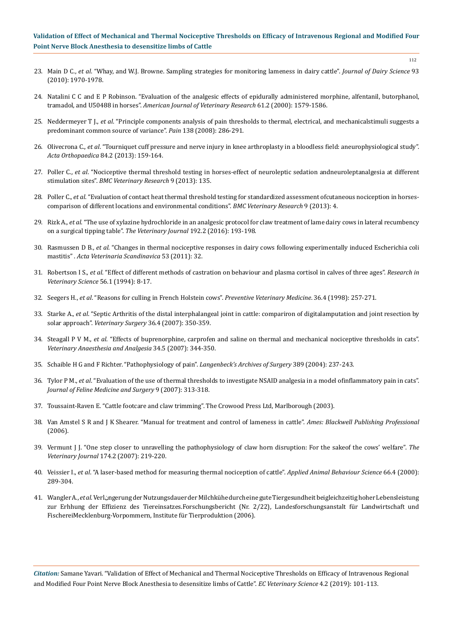- 112
- 23. Main D C., *et al*[. "Whay, and W.J. Browne. Sampling strategies for monitoring lameness in dairy cattle".](https://www.ncbi.nlm.nih.gov/pubmed/20412910) *Journal of Dairy Science* 93 [\(2010\): 1970-1978.](https://www.ncbi.nlm.nih.gov/pubmed/20412910)
- 24. [Natalini C C and E P Robinson. "Evaluation of the analgesic effects of epidurally administered morphine, alfentanil, butorphanol,](https://www.ncbi.nlm.nih.gov/pubmed/11131602) tramadol, and U50488 in horses". *[American Journal of Veterinary Research](https://www.ncbi.nlm.nih.gov/pubmed/11131602)* 61.2 (2000): 1579-1586.
- 25. Neddermeyer T J., *et al*[. "Principle components analysis of pain thresholds to thermal, electrical, and mechanicalstimuli suggests a](https://www.sciencedirect.com/science/article/pii/S0304395907007543) [predominant common source of variance".](https://www.sciencedirect.com/science/article/pii/S0304395907007543) *Pain* 138 (2008): 286-291.
- 26. Olivecrona C., *et al*[. "Tourniquet cuff pressure and nerve injury in knee arthroplasty in a bloodless field: aneurophysiological study".](https://www.ncbi.nlm.nih.gov/pmc/articles/PMC3639336/) *Acta Orthopaedica* [84.2 \(2013\): 159-164.](https://www.ncbi.nlm.nih.gov/pmc/articles/PMC3639336/)
- 27. Poller C., *et al*[. "Nociceptive thermal threshold testing in horses-effect of neuroleptic sedation andneuroleptanalgesia at different](https://www.ncbi.nlm.nih.gov/pubmed/23837730) stimulation sites". *[BMC Veterinary Research](https://www.ncbi.nlm.nih.gov/pubmed/23837730)* 9 (2013): 135.
- 28. Poller C., *et al*[. "Evaluation of contact heat thermal threshold testing for standardized assessment ofcutaneous nociception in horses](https://www.ncbi.nlm.nih.gov/pmc/articles/PMC3551666/)[comparison of different locations and environmental conditions".](https://www.ncbi.nlm.nih.gov/pmc/articles/PMC3551666/) *BMC Veterinary Research* 9 (2013): 4.
- 29. Rizk A., *et al*[. "The use of xylazine hydrochloride in an analgesic protocol for claw treatment of lame dairy cows in lateral recumbency](https://www.ncbi.nlm.nih.gov/pubmed/22503720)  [on a surgical tipping table".](https://www.ncbi.nlm.nih.gov/pubmed/22503720) *The Veterinary Journal* 192.2 (2016): 193-198.
- 30. Rasmussen D B., *et al*[. "Changes in thermal nociceptive responses in dairy cows following experimentally induced Escherichia coli](https://actavetscand.biomedcentral.com/articles/10.1186/1751-0147-53-32) mastitis" . *[Acta Veterinaria Scandinavica](https://actavetscand.biomedcentral.com/articles/10.1186/1751-0147-53-32)* 53 (2011): 32.
- 31. Robertson I S., *et al*[. "Effect of different methods of castration on behaviour and plasma cortisol in calves of three ages".](https://www.ncbi.nlm.nih.gov/pubmed/8146458) *Research in [Veterinary Science](https://www.ncbi.nlm.nih.gov/pubmed/8146458)* 56.1 (1994): 8-17.
- 32. Seegers H., *et al*[. "Reasons for culling in French Holstein cows".](https://www.ncbi.nlm.nih.gov/pubmed/9820887) *Preventive Veterinary Medicine*. 36.4 (1998): 257-271.
- 33. Starke A., *et al*[. "Septic Arthritis of the distal interphalangeal joint in cattle: compariron of digitalamputation and joint resection by](https://www.ncbi.nlm.nih.gov/pubmed/17547598) solar approach". *Veterinary Surgery* [36.4 \(2007\): 350-359.](https://www.ncbi.nlm.nih.gov/pubmed/17547598)
- 34. Steagall P V M., *et al*[. "Effects of buprenorphine, carprofen and saline on thermal and mechanical nociceptive thresholds in cats".](https://www.researchgate.net/publication/229671675_Effects_of_buprenorphine_carprofen_and_saline_on_thermal_and_mechanical_nociceptive_thresholds_in_cats)  *[Veterinary Anaesthesia and Analgesia](https://www.researchgate.net/publication/229671675_Effects_of_buprenorphine_carprofen_and_saline_on_thermal_and_mechanical_nociceptive_thresholds_in_cats)* 34.5 (2007): 344-350.
- 35. Schaible H G and F Richter. "Pathophysiology of pain". *Langenbeck's Archives of Surgery* 389 (2004): 237-243.
- 36. Tylor P M., *et al*[. "Evaluation of the use of thermal thresholds to investigate NSAID analgesia in a model ofinflammatory pain in cats".](https://journals.sagepub.com/doi/abs/10.1016/j.jfms.2007.03.008?journalCode=jfma) *[Journal of Feline Medicine and Surgery](https://journals.sagepub.com/doi/abs/10.1016/j.jfms.2007.03.008?journalCode=jfma)* 9 (2007): 313-318.
- 37. Toussaint-Raven E. "Cattle footcare and claw trimming". The Crowood Press Ltd, Marlborough (2003).
- 38. Van Amstel S R and J K Shearer. "Manual for treatment and control of lameness in cattle". *Ames: Blackwell Publishing Professional* (2006).
- 39. [Vermunt J J. "One step closer to unravelling the pathophysiology of claw horn disruption: For the sakeof the cows' welfare".](https://www.ncbi.nlm.nih.gov/pubmed/17141542) *The Veterinary Journal* [174.2 \(2007\): 219-220.](https://www.ncbi.nlm.nih.gov/pubmed/17141542)
- 40. Veissier I., *et al*[. "A laser-based method for measuring thermal nociception of cattle".](https://www.ncbi.nlm.nih.gov/pubmed/10700628) *Applied Animal Behaviour Science* 66.4 (2000): [289-304.](https://www.ncbi.nlm.nih.gov/pubmed/10700628)
- 41. Wangler A., *et al*. Verlنngerung der Nutzungsdauer der Milchkühe durch eine gute Tiergesundheit beigleichzeitig hoher Lebensleistung zur Erhhung der Effizienz des Tiereinsatzes.Forschungsbericht (Nr. 2/22), Landesforschungsanstalt für Landwirtschaft und FischereiMecklenburg-Vorpommern, Institute für Tierproduktion (2006).